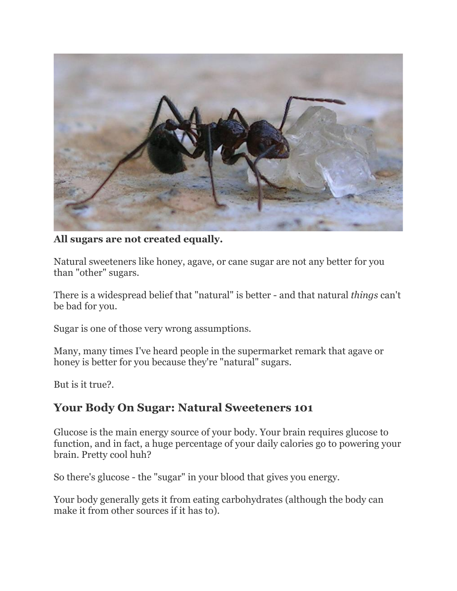

#### **All sugars are not created equally.**

Natural sweeteners like honey, agave, or cane sugar are not any better for you than "other" sugars.

There is a widespread belief that "natural" is better - and that natural *things* can't be bad for you.

Sugar is one of those very wrong assumptions.

Many, many times I've heard people in the supermarket remark that agave or honey is better for you because they're "natural" sugars.

But is it true?.

## **Your Body On Sugar: Natural Sweeteners 101**

Glucose is the main energy source of your body. Your brain requires glucose to function, and in fact, a huge percentage of your daily calories go to powering your brain. Pretty cool huh?

So there's glucose - the "sugar" in your blood that gives you energy.

Your body generally gets it from eating carbohydrates (although the body can make it from other sources if it has to).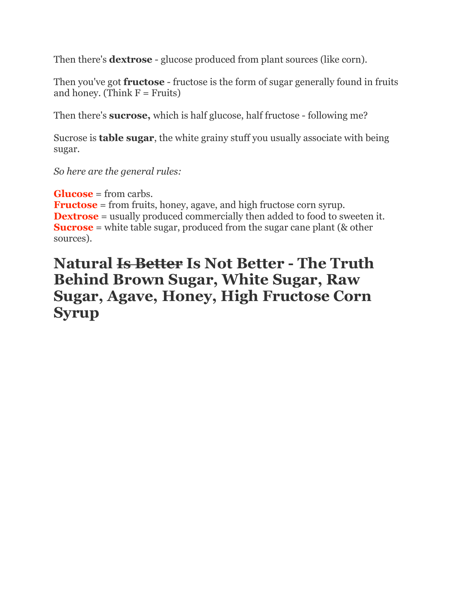Then there's **dextrose** - glucose produced from plant sources (like corn).

Then you've got **fructose** - fructose is the form of sugar generally found in fruits and honey. (Think  $F =$  Fruits)

Then there's **sucrose,** which is half glucose, half fructose - following me?

Sucrose is **table sugar**, the white grainy stuff you usually associate with being sugar.

*So here are the general rules:*

**Glucose** = from carbs.

**Fructose** = from fruits, honey, agave, and high fructose corn syrup. **Dextrose** = usually produced commercially then added to food to sweeten it. **Sucrose** = white table sugar, produced from the sugar cane plant (& other sources).

## **Natural Is Better Is Not Better - The Truth Behind Brown Sugar, White Sugar, Raw Sugar, Agave, Honey, High Fructose Corn Syrup**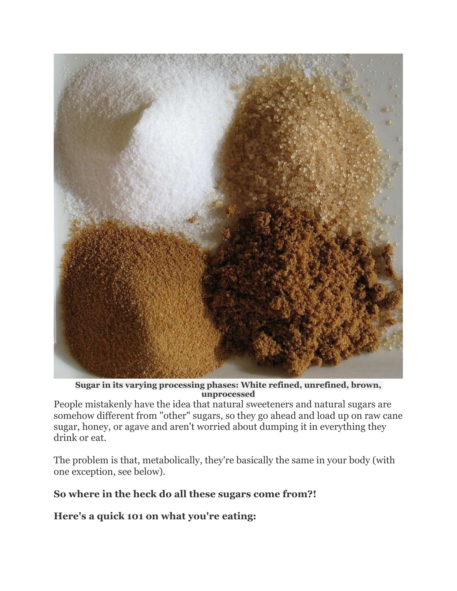

**Sugar in its varying processing phases: White refined, unrefined, brown, unprocessed**

People mistakenly have the idea that natural sweeteners and natural sugars are somehow different from "other" sugars, so they go ahead and load up on raw cane sugar, honey, or agave and aren't worried about dumping it in everything they drink or eat.

The problem is that, metabolically, they're basically the same in your body (with one exception, see below).

### **So where in the heck do all these sugars come from?!**

**Here's a quick 101 on what you're eating:**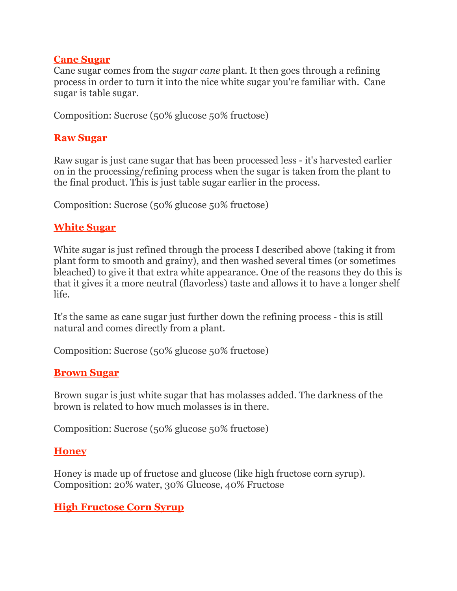#### **Cane Sugar**

Cane sugar comes from the *sugar cane* plant. It then goes through a refining process in order to turn it into the nice white sugar you're familiar with. Cane sugar is table sugar.

Composition: Sucrose (50% glucose 50% fructose)

#### **Raw Sugar**

Raw sugar is just cane sugar that has been processed less - it's harvested earlier on in the processing/refining process when the sugar is taken from the plant to the final product. This is just table sugar earlier in the process.

Composition: Sucrose (50% glucose 50% fructose)

#### **White Sugar**

White sugar is just refined through the process I described above (taking it from plant form to smooth and grainy), and then washed several times (or sometimes bleached) to give it that extra white appearance. One of the reasons they do this is that it gives it a more neutral (flavorless) taste and allows it to have a longer shelf life.

It's the same as cane sugar just further down the refining process - this is still natural and comes directly from a plant.

Composition: Sucrose (50% glucose 50% fructose)

### **Brown Sugar**

Brown sugar is just white sugar that has molasses added. The darkness of the brown is related to how much molasses is in there.

Composition: Sucrose (50% glucose 50% fructose)

#### **Honey**

Honey is made up of fructose and glucose (like high fructose corn syrup). Composition: 20% water, 30% Glucose, 40% Fructose

#### **High Fructose Corn Syrup**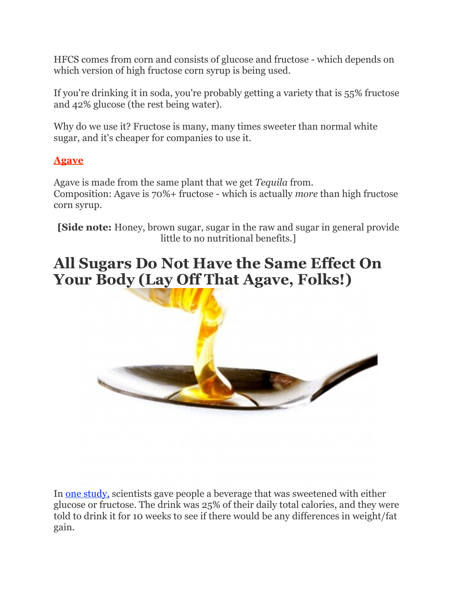HFCS comes from corn and consists of glucose and fructose - which depends on which version of high fructose corn syrup is being used.

If you're drinking it in soda, you're probably getting a variety that is 55% fructose and 42% glucose (the rest being water).

Why do we use it? Fructose is many, many times sweeter than normal white sugar, and it's cheaper for companies to use it.

## **Agave**

Agave is made from the same plant that we get *Tequila* from. Composition: Agave is 70%+ fructose - which is actually *more* than high fructose corn syrup.

**[Side note:** Honey, brown sugar, sugar in the raw and sugar in general provide little to no nutritional benefits.]

# **All Sugars Do Not Have the Same Effect On Your Body (Lay Off That Agave, Folks!)**



In [one study,](http://www.jci.org/articles/view/39332) scientists gave people a beverage that was sweetened with either glucose or fructose. The drink was 25% of their daily total calories, and they were told to drink it for 10 weeks to see if there would be any differences in weight/fat gain.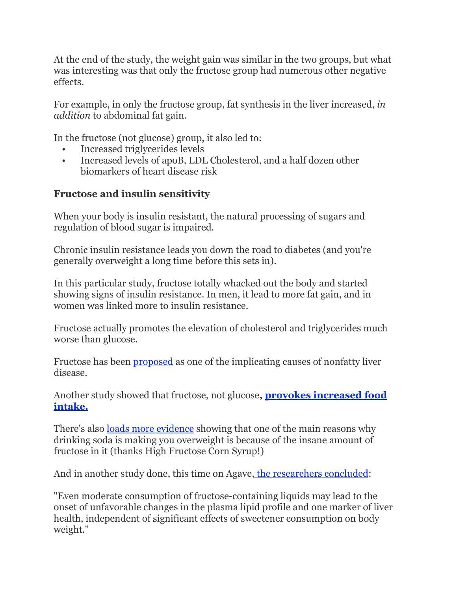At the end of the study, the weight gain was similar in the two groups, but what was interesting was that only the fructose group had numerous other negative effects.

For example, in only the fructose group, fat synthesis in the liver increased, *in addition* to abdominal fat gain.

In the fructose (not glucose) group, it also led to:

- Increased triglycerides levels
- Increased levels of apoB, LDL Cholesterol, and a half dozen other biomarkers of heart disease risk

## **Fructose and insulin sensitivity**

When your body is insulin resistant, the natural processing of sugars and regulation of blood sugar is impaired.

Chronic insulin resistance leads you down the road to diabetes (and you're generally overweight a long time before this sets in).

In this particular study, fructose totally whacked out the body and started showing signs of insulin resistance. In men, it lead to more fat gain, and in women was linked more to insulin resistance.

Fructose actually promotes the elevation of cholesterol and triglycerides much worse than glucose.

Fructose has been [proposed](http://www.ncbi.nlm.nih.gov/pubmed/10553793) as one of the implicating causes of nonfatty liver disease.

[Another study showed that fructose, not glucose](http://www.ncbi.nlm.nih.gov/pubmed/18971329)**, provokes increased food intake.**

There's also [loads more evidence](http://www.ncbi.nlm.nih.gov/pubmed/19956074) showing that one of the main reasons why drinking soda is making you overweight is because of the insane amount of fructose in it (thanks High Fructose Corn Syrup!)

And in another study done, this time on Agave[, the researchers concluded:](http://www.ncbi.nlm.nih.gov/pubmed/19815021)

"Even moderate consumption of fructose-containing liquids may lead to the onset of unfavorable changes in the plasma lipid profile and one marker of liver health, independent of significant effects of sweetener consumption on body weight."